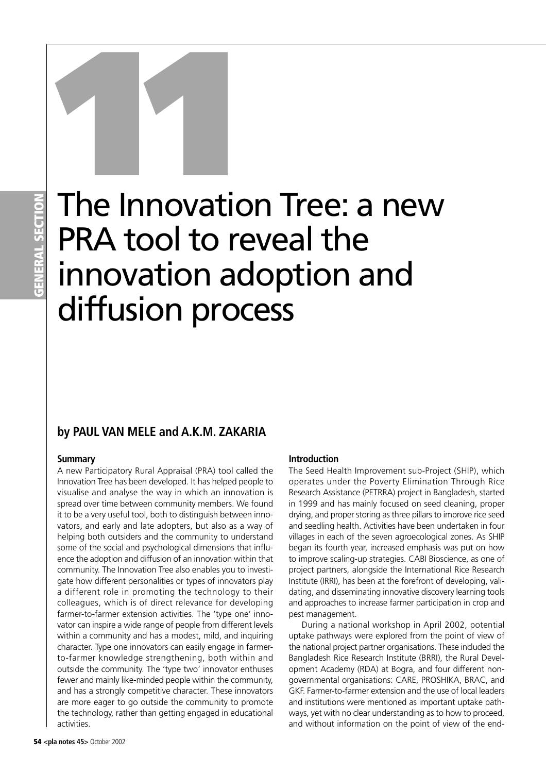# **GENERAL SECTION**

## The Innovation Tree: a new PRA tool to reveal the innovation adoption and diffusion process The Innovation

### **by PAUL VAN MELE and A.K.M. ZAKARIA**

#### **Summary**

A new Participatory Rural Appraisal (PRA) tool called the Innovation Tree has been developed. It has helped people to visualise and analyse the way in which an innovation is spread over time between community members. We found it to be a very useful tool, both to distinguish between innovators, and early and late adopters, but also as a way of helping both outsiders and the community to understand some of the social and psychological dimensions that influence the adoption and diffusion of an innovation within that community. The Innovation Tree also enables you to investigate how different personalities or types of innovators play a different role in promoting the technology to their colleagues, which is of direct relevance for developing farmer-to-farmer extension activities. The 'type one' innovator can inspire a wide range of people from different levels within a community and has a modest, mild, and inquiring character. Type one innovators can easily engage in farmerto-farmer knowledge strengthening, both within and outside the community. The 'type two' innovator enthuses fewer and mainly like-minded people within the community, and has a strongly competitive character. These innovators are more eager to go outside the community to promote the technology, rather than getting engaged in educational activities.

#### **Introduction**

The Seed Health Improvement sub-Project (SHIP), which operates under the Poverty Elimination Through Rice Research Assistance (PETRRA) project in Bangladesh, started in 1999 and has mainly focused on seed cleaning, proper drying, and proper storing as three pillars to improve rice seed and seedling health. Activities have been undertaken in four villages in each of the seven agroecological zones. As SHIP began its fourth year, increased emphasis was put on how to improve scaling-up strategies. CABI Bioscience, as one of project partners, alongside the International Rice Research Institute (IRRI), has been at the forefront of developing, validating, and disseminating innovative discovery learning tools and approaches to increase farmer participation in crop and pest management.

During a national workshop in April 2002, potential uptake pathways were explored from the point of view of the national project partner organisations. These included the Bangladesh Rice Research Institute (BRRI), the Rural Development Academy (RDA) at Bogra, and four different nongovernmental organisations: CARE, PROSHIKA, BRAC, and GKF. Farmer-to-farmer extension and the use of local leaders and institutions were mentioned as important uptake pathways, yet with no clear understanding as to how to proceed, and without information on the point of view of the end-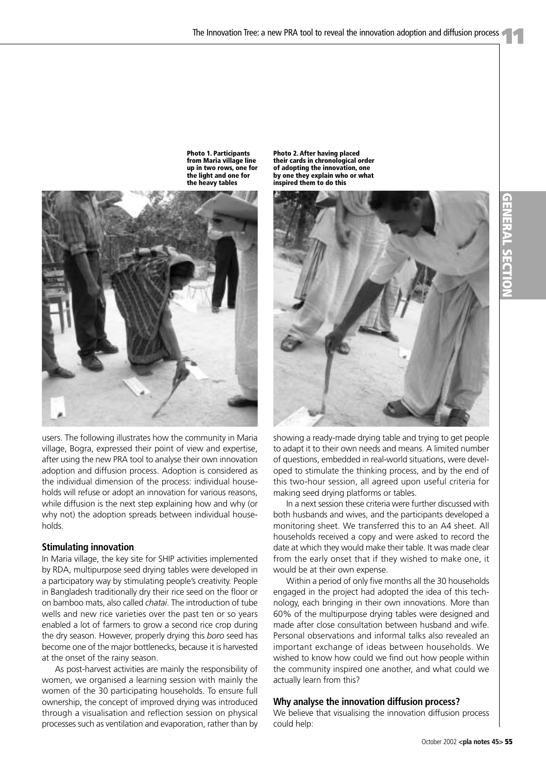**Photo 1. Participants from Maria village line up in two rows, one for the light and one for the heavy tables**



#### **Stimulating innovation**

In Maria village, the key site for SHIP activities implemented by RDA, multipurpose seed drying tables were developed in a participatory way by stimulating people's creativity. People in Bangladesh traditionally dry their rice seed on the floor or on bamboo mats, also called *chatai*. The introduction of tube wells and new rice varieties over the past ten or so years enabled a lot of farmers to grow a second rice crop during the dry season. However, properly drying this *boro* seed has become one of the major bottlenecks, because it is harvested at the onset of the rainy season.

As post-harvest activities are mainly the responsibility of women, we organised a learning session with mainly the women of the 30 participating households. To ensure full ownership, the concept of improved drying was introduced through a visualisation and reflection session on physical processes such as ventilation and evaporation, rather than by

**Photo 2. After having placed their cards in chronological order of adopting the innovation, one by one they explain who or what inspired them to do this**



showing a ready-made drying table and trying to get people to adapt it to their own needs and means. A limited number of questions, embedded in real-world situations, were developed to stimulate the thinking process, and by the end of this two-hour session, all agreed upon useful criteria for making seed drying platforms or tables.

In a next session these criteria were further discussed with both husbands and wives, and the participants developed a monitoring sheet. We transferred this to an A4 sheet. All households received a copy and were asked to record the date at which they would make their table. It was made clear from the early onset that if they wished to make one, it would be at their own expense.

Within a period of only five months all the 30 households engaged in the project had adopted the idea of this technology, each bringing in their own innovations. More than 60% of the multipurpose drying tables were designed and made after close consultation between husband and wife. Personal observations and informal talks also revealed an important exchange of ideas between households. We wished to know how could we find out how people within the community inspired one another, and what could we actually learn from this?

#### **Why analyse the innovation diffusion process?**

We believe that visualising the innovation diffusion process could help: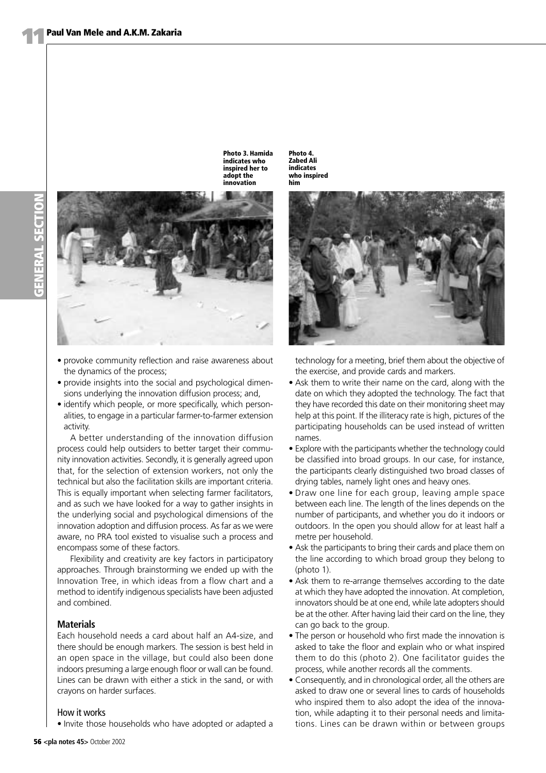**Photo 3. Hamida indicates who inspired her to adopt the innovation**



- provoke community reflection and raise awareness about the dynamics of the process;
- provide insights into the social and psychological dimensions underlying the innovation diffusion process; and,
- identify which people, or more specifically, which personalities, to engage in a particular farmer-to-farmer extension activity.

A better understanding of the innovation diffusion process could help outsiders to better target their community innovation activities. Secondly, it is generally agreed upon that, for the selection of extension workers, not only the technical but also the facilitation skills are important criteria. This is equally important when selecting farmer facilitators, and as such we have looked for a way to gather insights in the underlying social and psychological dimensions of the innovation adoption and diffusion process. As far as we were aware, no PRA tool existed to visualise such a process and encompass some of these factors.

Flexibility and creativity are key factors in participatory approaches. Through brainstorming we ended up with the Innovation Tree, in which ideas from a flow chart and a method to identify indigenous specialists have been adjusted and combined.

#### **Materials**

Each household needs a card about half an A4-size, and there should be enough markers. The session is best held in an open space in the village, but could also been done indoors presuming a large enough floor or wall can be found. Lines can be drawn with either a stick in the sand, or with crayons on harder surfaces.

#### How it works

• Invite those households who have adopted or adapted a

**Photo 4. Zabed Ali indicates who inspired him**



technology for a meeting, brief them about the objective of the exercise, and provide cards and markers.

- Ask them to write their name on the card, along with the date on which they adopted the technology. The fact that they have recorded this date on their monitoring sheet may help at this point. If the illiteracy rate is high, pictures of the participating households can be used instead of written names.
- Explore with the participants whether the technology could be classified into broad groups. In our case, for instance, the participants clearly distinguished two broad classes of drying tables, namely light ones and heavy ones.
- Draw one line for each group, leaving ample space between each line. The length of the lines depends on the number of participants, and whether you do it indoors or outdoors. In the open you should allow for at least half a metre per household.
- Ask the participants to bring their cards and place them on the line according to which broad group they belong to (photo 1).
- Ask them to re-arrange themselves according to the date at which they have adopted the innovation. At completion, innovators should be at one end, while late adopters should be at the other. After having laid their card on the line, they can go back to the group.
- The person or household who first made the innovation is asked to take the floor and explain who or what inspired them to do this (photo 2). One facilitator guides the process, while another records all the comments.
- Consequently, and in chronological order, all the others are asked to draw one or several lines to cards of households who inspired them to also adopt the idea of the innovation, while adapting it to their personal needs and limitations. Lines can be drawn within or between groups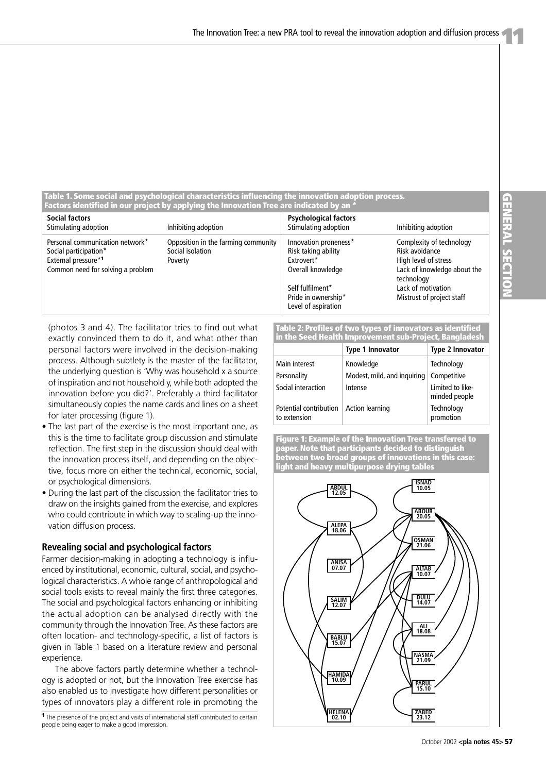**Table 1. Some social and psychological characteristics influencing the innovation adoption process. Factors identified in our project by applying the Innovation Tree are indicated by an \***

| <b>Social factors</b><br>Stimulating adoption                                                                        | Inhibiting adoption                                                | <b>Psychological factors</b><br>Stimulating adoption                            | Inhibiting adoption                                                                                             |
|----------------------------------------------------------------------------------------------------------------------|--------------------------------------------------------------------|---------------------------------------------------------------------------------|-----------------------------------------------------------------------------------------------------------------|
| Personal communication network*<br>Social participation*<br>External pressure*1<br>Common need for solving a problem | Opposition in the farming community<br>Social isolation<br>Poverty | Innovation proneness*<br>Risk taking ability<br>Extrovert*<br>Overall knowledge | Complexity of technology<br>Risk avoidance<br>High level of stress<br>Lack of knowledge about the<br>technology |
|                                                                                                                      |                                                                    | Self fulfilment*                                                                | Lack of motivation                                                                                              |
|                                                                                                                      |                                                                    | Pride in ownership*<br>Level of aspiration                                      | Mistrust of project staff                                                                                       |

(photos 3 and 4). The facilitator tries to find out what exactly convinced them to do it, and what other than personal factors were involved in the decision-making process. Although subtlety is the master of the facilitator, the underlying question is 'Why was household x a source of inspiration and not household y, while both adopted the innovation before you did?'. Preferably a third facilitator simultaneously copies the name cards and lines on a sheet for later processing (figure 1).

- The last part of the exercise is the most important one, as this is the time to facilitate group discussion and stimulate reflection. The first step in the discussion should deal with the innovation process itself, and depending on the objective, focus more on either the technical, economic, social, or psychological dimensions.
- During the last part of the discussion the facilitator tries to draw on the insights gained from the exercise, and explores who could contribute in which way to scaling-up the innovation diffusion process.

#### **Revealing social and psychological factors**

Farmer decision-making in adopting a technology is influenced by institutional, economic, cultural, social, and psychological characteristics. A whole range of anthropological and social tools exists to reveal mainly the first three categories. The social and psychological factors enhancing or inhibiting the actual adoption can be analysed directly with the community through the Innovation Tree. As these factors are often location- and technology-specific, a list of factors is given in Table 1 based on a literature review and personal experience.

The above factors partly determine whether a technology is adopted or not, but the Innovation Tree exercise has also enabled us to investigate how different personalities or types of innovators play a different role in promoting the

**1**The presence of the project and visits of international staff contributed to certain people being eager to make a good impression.

**Table 2: Profiles of two types of innovators as identified in the Seed Health Improvement sub-Project, Bangladesh**

|                                        | <u>m and been neman miprorement sur rrojecty bangiación</u> |                                   |
|----------------------------------------|-------------------------------------------------------------|-----------------------------------|
|                                        | <b>Type 1 Innovator</b>                                     | <b>Type 2 Innovator</b>           |
| Main interest                          | Knowledge                                                   | Technology                        |
| Personality                            | Modest, mild, and inquiring                                 | Competitive                       |
| Social interaction                     | Intense                                                     | Limited to like-<br>minded people |
| Potential contribution<br>to extension | <b>Action learning</b>                                      | Technology<br>promotion           |

**Figure 1: Example of the Innovation Tree transferred to paper. Note that participants decided to distinguish between two broad groups of innovations in this case: light and heavy multipurpose drying tables**